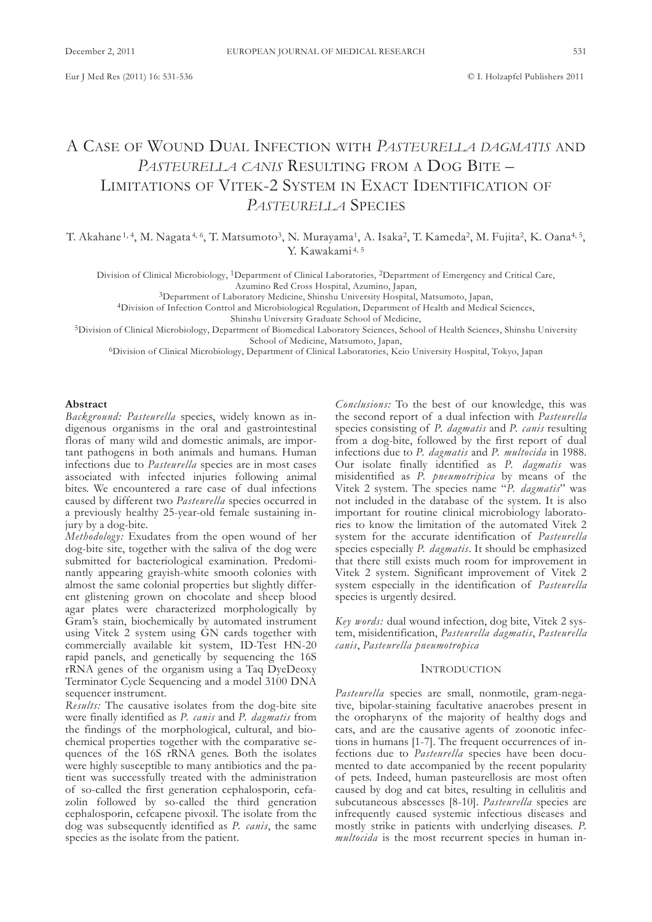# A CAsE of Wound duAl InfECtIon WItH *Pasteurella dagmatis* And PASTEURELLA CANIS RESULTING FROM A DOG BITE – LIMITATIONS OF VITEK-2 SYSTEM IN EXACT IDENTIFICATION OF *Pasteurella* sPECIEs

T. Akahane <sup>1, 4</sup>, M. Nagata <sup>4, 6</sup>, T. Matsumoto<sup>3</sup>, N. Murayama<sup>1</sup>, A. Isaka<sup>2</sup>, T. Kameda<sup>2</sup>, M. Fujita<sup>2</sup>, K. Oana<sup>4, 5</sup>, Y. Kawakami<sup>4, 5</sup>

Division of Clinical Microbiology, <sup>1</sup>Department of Clinical Laboratories, <sup>2</sup>Department of Emergency and Critical Care, Azumino Red Cross Hospital, Azumino, Japan,

<sup>3</sup>Department of Laboratory Medicine, Shinshu University Hospital, Matsumoto, Japan,

<sup>4</sup>Division of Infection Control and Microbiological Regulation, Department of Health and Medical Sciences,

Shinshu University Graduate School of Medicine,

<sup>5</sup>Division of Clinical Microbiology, Department of Biomedical Laboratory Sciences, School of Health Sciences, Shinshu University school of Medicine, Matsumoto, Japan,

<sup>6</sup>Division of Clinical Microbiology, Department of Clinical Laboratories, Keio University Hospital, Tokyo, Japan

#### **Abstract**

*Background: Pasteurella* species, widely known as indigenous organisms in the oral and gastrointestinal floras of many wild and domestic animals, are important pathogens in both animals and humans. Human infections due to *Pasteurella* species are in most cases associated with infected injuries following animal bites. We encountered a rare case of dual infections caused by different two *Pasteurella* species occurred in a previously healthy 25-year-old female sustaining injury by a dog-bite.

*methodology:* Exudates from the open wound of her dog-bite site, together with the saliva of the dog were submitted for bacteriological examination. Predominantly appearing grayish-white smooth colonies with almost the same colonial properties but slightly different glistening grown on chocolate and sheep blood agar plates were characterized morphologically by Gram's stain, biochemically by automated instrument using Vitek 2 system using GN cards together with commercially available kit system, ID-Test HN-20 rapid panels, and genetically by sequencing the 16s rRNA genes of the organism using a Taq DyeDeoxy Terminator Cycle Sequencing and a model 3100 DNA sequencer instrument.

*Results:* The causative isolates from the dog-bite site were finally identified as *P. canis* and *P. dagmatis* from the findings of the morphological, cultural, and biochemical properties together with the comparative sequences of the 16s rRnA genes. Both the isolates were highly susceptible to many antibiotics and the patient was successfully treated with the administration of so-called the first generation cephalosporin, cefazolin followed by so-called the third generation cephalosporin, cefcapene pivoxil. The isolate from the dog was subsequently identified as *P. canis*, the same species as the isolate from the patient.

*Conclusions:* To the best of our knowledge, this was the second report of a dual infection with *Pasteurella* species consisting of *P. dagmatis* and *P. canis* resulting from a dog-bite, followed by the first report of dual infections due to *P. dagmatis* and *P. multocida* in 1988. our isolate finally identified as *P. dagmatis* was misidentified as *P. pneumotripica* by means of the Vitek 2 system. the species name "*P. dagmatis*" was not included in the database of the system. It is also important for routine clinical microbiology laboratories to know the limitation of the automated Vitek 2 system for the accurate identification of *Pasteurella* species especially *P. dagmatis*. It should be emphasized that there still exists much room for improvement in Vitek 2 system. significant improvement of Vitek 2 system especially in the identification of *Pasteurella* species is urgently desired.

*Key words:* dual wound infection, dog bite, Vitek 2 system, misidentification, *Pasteurella dagmatis*, *Pasteurella canis*, *Pasteurella pneumotropica*

# **INTRODUCTION**

*Pasteurella* species are small, nonmotile, gram-negative, bipolar-staining facultative anaerobes present in the oropharynx of the majority of healthy dogs and cats, and are the causative agents of zoonotic infections in humans [1-7]. The frequent occurrences of infections due to *Pasteurella* species have been documented to date accompanied by the recent popularity of pets. Indeed, human pasteurellosis are most often caused by dog and cat bites, resulting in cellulitis and subcutaneous abscesses [8-10]. *Pasteurella* species are infrequently caused systemic infectious diseases and mostly strike in patients with underlying diseases. *P. multocida* is the most recurrent species in human in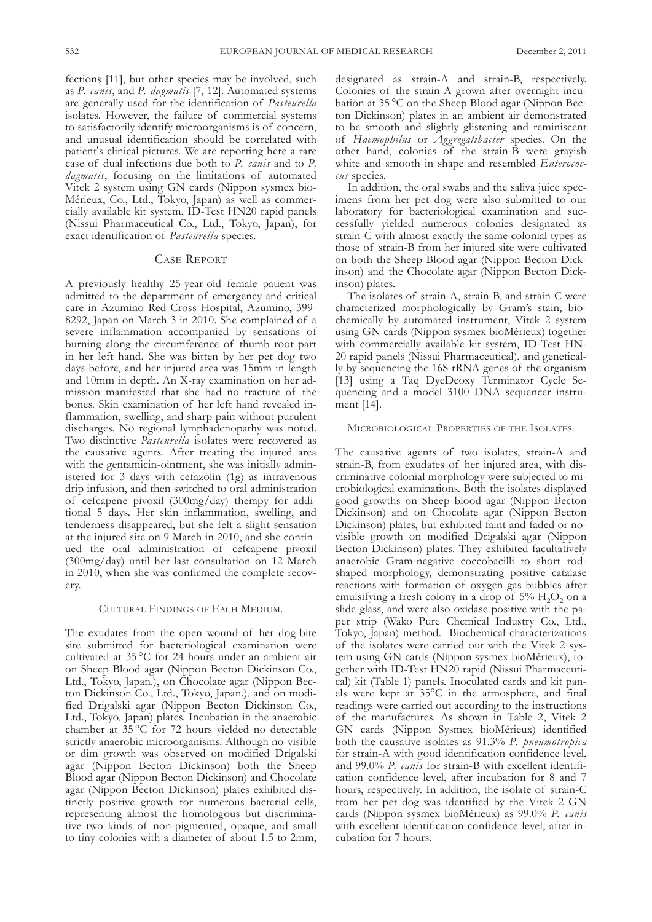fections [11], but other species may be involved, such as *P. canis*, and *P. dagmatis* [7, 12]. Automated systems are generally used for the identification of *Pasteurella* isolates. However, the failure of commercial systems to satisfactorily identify microorganisms is of concern, and unusual identification should be correlated with patient's clinical pictures. We are reporting here a rare case of dual infections due both to *P. canis* and to *P. dagmatis*, focusing on the limitations of automated Vitek 2 system using GN cards (Nippon sysmex bio-Mérieux, Co., Ltd., Tokyo, Japan) as well as commercially available kit system, ID-Test HN20 rapid panels (Nissui Pharmaceutical Co., Ltd., Tokyo, Japan), for exact identification of *Pasteurella* species.

# CASE REPORT

A previously healthy 25-year-old female patient was admitted to the department of emergency and critical care in Azumino Red Cross Hospital, Azumino, 399- 8292, Japan on March 3 in 2010. she complained of a severe inflammation accompanied by sensations of burning along the circumference of thumb root part in her left hand. she was bitten by her pet dog two days before, and her injured area was 15mm in length and 10mm in depth. An x-ray examination on her admission manifested that she had no fracture of the bones. skin examination of her left hand revealed inflammation, swelling, and sharp pain without purulent discharges. No regional lymphadenopathy was noted. Two distinctive *Pasteurella* isolates were recovered as the causative agents. After treating the injured area with the gentamicin-ointment, she was initially administered for 3 days with cefazolin (1g) as intravenous drip infusion, and then switched to oral administration of cefcapene pivoxil (300mg/day) therapy for additional 5 days. Her skin inflammation, swelling, and tenderness disappeared, but she felt a slight sensation at the injured site on 9 March in 2010, and she continued the oral administration of cefcapene pivoxil (300mg/day) until her last consultation on 12 March in 2010, when she was confirmed the complete recovery.

# CultuRAl fIndIngs of EACH MEdIuM.

The exudates from the open wound of her dog-bite site submitted for bacteriological examination were cultivated at 35 °C for 24 hours under an ambient air on Sheep Blood agar (Nippon Becton Dickinson Co., Ltd., Tokyo, Japan.), on Chocolate agar (Nippon Becton Dickinson Co., Ltd., Tokyo, Japan.), and on modified Drigalski agar (Nippon Becton Dickinson Co., Ltd., Tokyo, Japan) plates. Incubation in the anaerobic chamber at 35 °C for 72 hours yielded no detectable strictly anaerobic microorganisms. Although no-visible or dim growth was observed on modified Drigalski agar (Nippon Becton Dickinson) both the Sheep Blood agar (Nippon Becton Dickinson) and Chocolate agar (Nippon Becton Dickinson) plates exhibited distinctly positive growth for numerous bacterial cells, representing almost the homologous but discriminative two kinds of non-pigmented, opaque, and small to tiny colonies with a diameter of about 1.5 to 2mm,

designated as strain-A and strain-B, respectively. Colonies of the strain-A grown after overnight incubation at  $35^{\circ}$ C on the Sheep Blood agar (Nippon Becton Dickinson) plates in an ambient air demonstrated to be smooth and slightly glistening and reminiscent of *Haemophilus* or *aggregatibacter* species. on the other hand, colonies of the strain-B were grayish white and smooth in shape and resembled *Enterococcus* species.

In addition, the oral swabs and the saliva juice specimens from her pet dog were also submitted to our laboratory for bacteriological examination and successfully yielded numerous colonies designated as strain-C with almost exactly the same colonial types as those of strain-B from her injured site were cultivated on both the Sheep Blood agar (Nippon Becton Dickinson) and the Chocolate agar (Nippon Becton Dickinson) plates.

The isolates of strain-A, strain-B, and strain-C were characterized morphologically by gram's stain, biochemically by automated instrument, Vitek 2 system using GN cards (Nippon sysmex bioMérieux) together with commercially available kit system, ID-Test HN-20 rapid panels (Nissui Pharmaceutical), and genetically by sequencing the 16S rRNA genes of the organism [13] using a Taq DyeDeoxy Terminator Cycle Sequencing and a model 3100 DNA sequencer instrument [14].

#### MICRoBIologICAl PRoPERtIEs of tHE IsolAtEs.

The causative agents of two isolates, strain-A and strain-B, from exudates of her injured area, with discriminative colonial morphology were subjected to microbiological examinations. Both the isolates displayed good growths on Sheep blood agar (Nippon Becton Dickinson) and on Chocolate agar (Nippon Becton Dickinson) plates, but exhibited faint and faded or novisible growth on modified Drigalski agar (Nippon Becton Dickinson) plates. They exhibited facultatively anaerobic gram-negative coccobacilli to short rodshaped morphology, demonstrating positive catalase reactions with formation of oxygen gas bubbles after emulsifying a fresh colony in a drop of  $5\%$  H<sub>2</sub>O<sub>2</sub> on a slide-glass, and were also oxidase positive with the paper strip (Wako Pure Chemical Industry Co., ltd., Tokyo, Japan) method. Biochemical characterizations of the isolates were carried out with the Vitek 2 system using GN cards (Nippon sysmex bioMérieux), together with ID-Test HN20 rapid (Nissui Pharmaceutical) kit (Table 1) panels. Inoculated cards and kit panels were kept at 35°C in the atmosphere, and final readings were carried out according to the instructions of the manufactures. As shown in Table 2, Vitek 2 GN cards (Nippon Sysmex bioMérieux) identified both the causative isolates as 91.3% *P. pneumotropica* for strain-A with good identification confidence level, and 99.0% *P. canis* for strain-B with excellent identification confidence level, after incubation for 8 and 7 hours, respectively. In addition, the isolate of strain-C from her pet dog was identified by the Vitek 2 GN cards (nippon sysmex bioMérieux) as 99.0% *P. canis* with excellent identification confidence level, after incubation for 7 hours.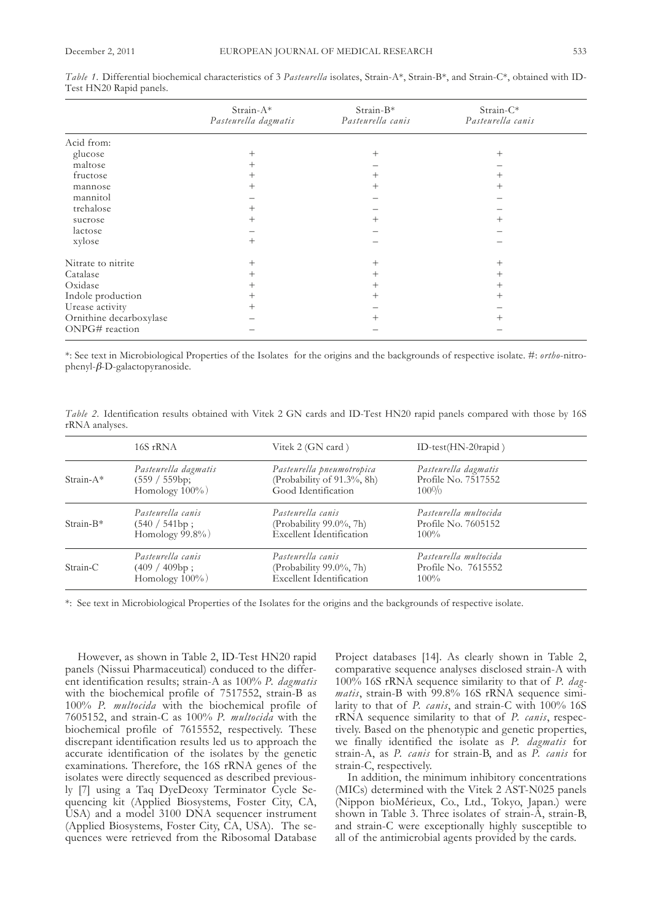|                         | Strain-A*<br>Pasteurella dagmatis | Strain-B*<br>Pasteurella canis | Strain-C*<br>Pasteurella canis |  |
|-------------------------|-----------------------------------|--------------------------------|--------------------------------|--|
| Acid from:              |                                   |                                |                                |  |
| glucose                 | $\overline{+}$                    | $\hspace{0.1mm} +$             | $^+$                           |  |
| maltose                 | $^{+}$                            |                                |                                |  |
| fructose                | $^+$                              | $^{+}$                         | $^{+}$                         |  |
| mannose                 | $^+$                              | $^+$                           | $^+$                           |  |
| mannitol                |                                   |                                |                                |  |
| trehalose               | $^+$                              |                                |                                |  |
| sucrose                 | $^+$                              | $^+$                           | $^+$                           |  |
| lactose                 |                                   |                                |                                |  |
| xylose                  | $^{+}$                            |                                |                                |  |
| Nitrate to nitrite      | $^{+}$                            | $^{+}$                         | $^+$                           |  |
| Catalase                | $^{+}$                            | $^{+}$                         | $^{+}$                         |  |
| Oxidase                 | $\overline{+}$                    | $^{+}$                         | $^+$                           |  |
| Indole production       | $\overline{+}$                    | $^{+}$                         | $^{+}$                         |  |
| Urease activity         | $^{+}$                            |                                |                                |  |
| Ornithine decarboxylase |                                   | $^+$                           | $^+$                           |  |
| ONPG# reaction          |                                   |                                |                                |  |

*Table* 1. Differential biochemical characteristics of 3 *Pasteurella* isolates, Strain-A\*, Strain-B\*, and Strain-C\*, obtained with ID-Test HN20 Rapid panels.

\*: see text in Microbiological Properties of the Isolates for the origins and the backgrounds of respective isolate. #: *ortho*-nitro $phenyl$ - $\beta$ -D-galactopyranoside.

*Table* 2. Identification results obtained with Vitek 2 GN cards and ID-Test HN20 rapid panels compared with those by 16S rRNA analyses.

|             | 16S rRNA                                                      | Vitek 2 (GN card)                                                               | ID-test( $HN-20$ rapid)                                 |  |
|-------------|---------------------------------------------------------------|---------------------------------------------------------------------------------|---------------------------------------------------------|--|
| $Strain-A*$ | Pasteurella dagmatis<br>(559 / 559bp)<br>Homology $100\%$ )   | Pasteurella pneumotropica<br>(Probability of 91.3%, 8h)<br>Good Identification  | Pasteurella dagmatis<br>Profile No. 7517552<br>$100\%$  |  |
| $Strain-B*$ | Pasteurella canis<br>$(540 / 541bp)$ ;<br>Homology $99.8\%$ ) | Pasteurella canis<br>(Probability 99.0%, 7h)<br>Excellent Identification        | Pasteurella multocida<br>Profile No. 7605152<br>$100\%$ |  |
| $Strain-C$  | Pasteurella canis<br>$(409 / 409bp)$ ;<br>Homology $100\%$ )  | Pasteurella canis<br>(Probability 99.0%, 7h)<br><b>Excellent Identification</b> | Pasteurella multocida<br>Profile No. 7615552<br>$100\%$ |  |

\*: see text in Microbiological Properties of the Isolates for the origins and the backgrounds of respective isolate.

However, as shown in Table 2, ID-Test HN20 rapid panels (Nissui Pharmaceutical) conduced to the different identification results; strain-A as 100% *P. dagmatis* with the biochemical profile of 7517552, strain-B as 100% *P. multocida* with the biochemical profile of 7605152, and strain-C as 100% *P. multocida* with the biochemical profile of 7615552, respectively. These discrepant identification results led us to approach the accurate identification of the isolates by the genetic examinations. Therefore, the 16S rRNA genes of the isolates were directly sequenced as described previously [7] using a Taq DyeDeoxy Terminator Cycle Sequencing kit (Applied Biosystems, foster City, CA, USA) and a model 3100 DNA sequencer instrument (Applied Biosystems, Foster City, CA, USA). The sequences were retrieved from the Ribosomal Database

Project databases [14]. As clearly shown in Table 2, comparative sequence analyses disclosed strain-A with 100% 16s rRnA sequence similarity to that of *P. dag*matis, strain-B with 99.8% 16S rRNA sequence similarity to that of *P. canis*, and strain-C with 100% 16s rRnA sequence similarity to that of *P. canis*, respectively. Based on the phenotypic and genetic properties, we finally identified the isolate as *P. dagmatis* for strain-A, as *P. canis* for strain-B, and as *P. canis* for strain-C, respectively.

In addition, the minimum inhibitory concentrations (MICs) determined with the Vitek 2 AST-N025 panels (Nippon bioMérieux, Co., Ltd., Tokyo, Japan.) were shown in Table 3. Three isolates of strain- $\overline{A}$ , strain- $\overline{B}$ , and strain-C were exceptionally highly susceptible to all of the antimicrobial agents provided by the cards.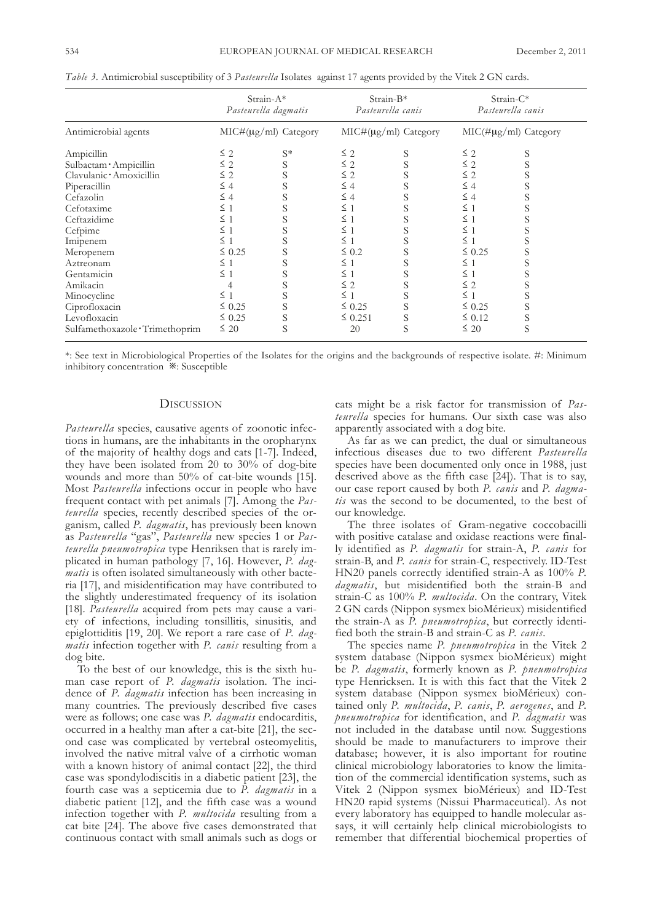|                               |             | Strain-A*<br>Pasteurella dagmatis |              | $Strain-B*$<br>Pasteurella canis |             | Strain-C*<br>Pasteurella canis |
|-------------------------------|-------------|-----------------------------------|--------------|----------------------------------|-------------|--------------------------------|
| Antimicrobial agents          |             | MIC#(µg/ml) Category              |              | MIC#(µg/ml) Category             |             | $MIC(\# \mu g/ml)$ Category    |
| Ampicillin                    | $\leq$ 2    | $S^*$                             | $\leq$ 2     | S                                | $\leq$ 2    | S                              |
| Sulbactam · Ampicillin        | $\leq 2$    | S                                 | $\leq 2$     | S                                | $\leq 2$    | S                              |
| Clavulanic Amoxicillin        | $\leq$ 2    | S                                 | $\leq$ 2     | S                                | $\leq 2$    |                                |
| Piperacillin                  | $\leq 4$    | S                                 | $\leq 4$     | S                                | $\leq 4$    | S                              |
| Cefazolin                     | $\leq 4$    |                                   | $\leq 4$     | S                                | $\leq 4$    | S                              |
| Cefotaxime                    | $\leq$ 1    | S                                 | $\leq 1$     | S                                | $\leq 1$    |                                |
| Ceftazidime                   | $\leq$ 1    | S                                 | $\leq$ 1     | S                                | $\leq 1$    | S                              |
| Cefpime                       | $\leq 1$    | S                                 | $\leq 1$     | S                                | $\leq$ 1    |                                |
| Imipenem                      | $\leq 1$    | S                                 | $\leq 1$     | S                                | $\leq 1$    |                                |
| Meropenem                     | $\leq 0.25$ | S                                 | $\leq 0.2$   | S                                | $\leq 0.25$ |                                |
| Aztreonam                     | $\leq$ 1    | S                                 | $\leq$ 1     | S                                | $\leq 1$    |                                |
| Gentamicin                    | $\leq 1$    | S                                 | $\leq$ 1     | S                                | $\leq 1$    |                                |
| Amikacin                      |             | S                                 | $\leq$ 2     | S                                | $\leq 2$    |                                |
| Minocycline                   | $\leq 1$    | S                                 | $\leq$ 1     | S                                | $\leq 1$    | S                              |
| Ciprofloxacin                 | $\leq 0.25$ | S                                 | $\leq 0.25$  | S                                | $\leq 0.25$ | S                              |
| Levofloxacin                  | $\leq 0.25$ | S                                 | $\leq 0.251$ | S                                | $\leq 0.12$ | S                              |
| Sulfamethoxazole Trimethoprim | $\leq 20$   | S                                 | 20           | S                                | $\leq 20$   | S                              |

*Table* 3. Antimicrobial susceptibility of 3 *Pasteurella* Isolates against 17 agents provided by the Vitek 2 GN cards.

\*: see text in Microbiological Properties of the Isolates for the origins and the backgrounds of respective isolate. #: Minimum inhibitory concentration ※: susceptible

# **DISCUSSION**

*Pasteurella* species, causative agents of zoonotic infections in humans, are the inhabitants in the oropharynx of the majority of healthy dogs and cats [1-7]. Indeed, they have been isolated from 20 to 30% of dog-bite wounds and more than 50% of cat-bite wounds [15]. Most *Pasteurella* infections occur in people who have frequent contact with pet animals [7]. Among the *Pasteurella* species, recently described species of the organism, called *P. dagmatis*, has previously been known as *Pasteurella* "gas", *Pasteurella* new species 1 or *Pasteurella pneumotropica* type Henriksen that is rarely implicated in human pathology [7, 16]. However, *P. dagmatis* is often isolated simultaneously with other bacteria [17], and misidentification may have contributed to the slightly underestimated frequency of its isolation [18]. *Pasteurella* acquired from pets may cause a variety of infections, including tonsillitis, sinusitis, and epiglottiditis [19, 20]. We report a rare case of *P. dagmatis* infection together with *P. canis* resulting from a dog bite.

To the best of our knowledge, this is the sixth human case report of *P. dagmatis* isolation. The incidence of *P. dagmatis* infection has been increasing in many countries. The previously described five cases were as follows; one case was *P. dagmatis* endocarditis, occurred in a healthy man after a cat-bite [21], the second case was complicated by vertebral osteomyelitis, involved the native mitral valve of a cirrhotic woman with a known history of animal contact [22], the third case was spondylodiscitis in a diabetic patient [23], the fourth case was a septicemia due to *P. dagmatis* in a diabetic patient [12], and the fifth case was a wound infection together with *P. multocida* resulting from a cat bite [24]. The above five cases demonstrated that continuous contact with small animals such as dogs or

cats might be a risk factor for transmission of *Pasteurella* species for humans. Our sixth case was also apparently associated with a dog bite.

As far as we can predict, the dual or simultaneous infectious diseases due to two different *Pasteurella* species have been documented only once in 1988, just descrived above as the fifth case  $[24]$ ). That is to say, our case report caused by both *P. canis* and *P. dagmatis* was the second to be documented, to the best of our knowledge.

The three isolates of Gram-negative coccobacilli with positive catalase and oxidase reactions were finally identified as *P. dagmatis* for strain-A, *P. canis* for strain-B, and *P. canis* for strain-C, respectively. ID-Test Hn20 panels correctly identified strain-A as 100% *P. dagmatis*, but misidentified both the strain-B and strain-C as 100% P. multocida. On the contrary, Vitek 2 GN cards (Nippon sysmex bioMérieux) misidentified the strain-A as *P. pneumotropica*, but correctly identified both the strain-B and strain-C as *P. canis*.

The species name *P. pneumotropica* in the Vitek 2 system database (Nippon sysmex bioMérieux) might be *P. dagmatis*, formerly known as *P. pneumotropica* type Henricksen. It is with this fact that the Vitek 2 system database (Nippon sysmex bioMérieux) contained only *P. multocida*, *P. canis*, *P. aerogenes*, and *P. pneumotropica* for identification, and *P. dagmatis* was not included in the database until now. suggestions should be made to manufacturers to improve their database; however, it is also important for routine clinical microbiology laboratories to know the limitation of the commercial identification systems, such as Vitek 2 (Nippon sysmex bioMérieux) and ID-Test HN20 rapid systems (Nissui Pharmaceutical). As not every laboratory has equipped to handle molecular assays, it will certainly help clinical microbiologists to remember that differential biochemical properties of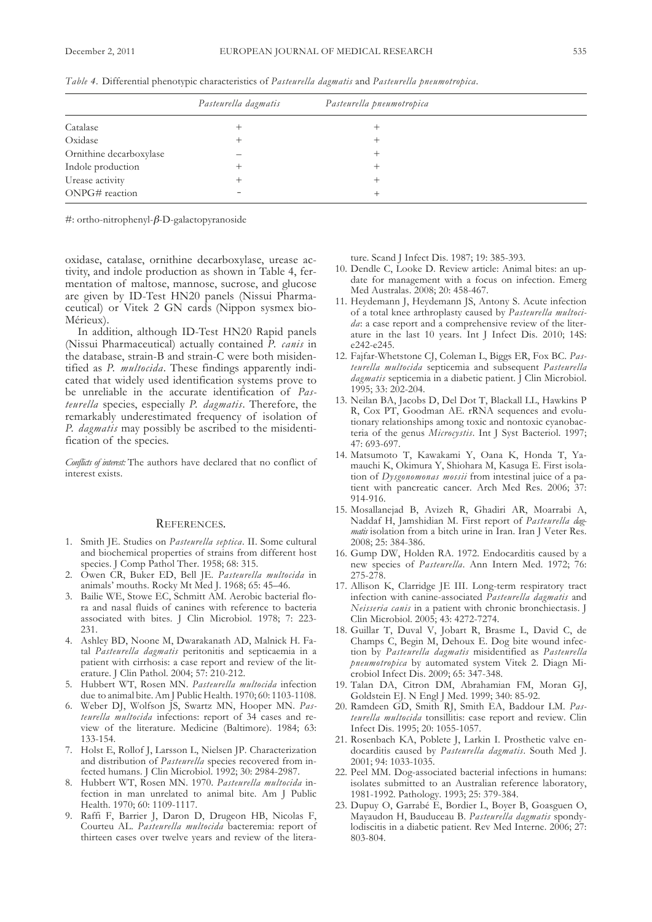|                         | Pasteurella dagmatis | Pasteurella pneumotropica |  |
|-------------------------|----------------------|---------------------------|--|
| Catalase                |                      | +                         |  |
| Oxidase                 |                      | 十                         |  |
| Ornithine decarboxylase |                      |                           |  |
| Indole production       |                      |                           |  |
| Urease activity         |                      |                           |  |
| ONPG# reaction          |                      | $^+$                      |  |

*table 4.* differential phenotypic characteristics of *Pasteurella dagmatis* and *Pasteurella pneumotropica*.

 $\#$ : ortho-nitrophenyl- $\beta$ -D-galactopyranoside

oxidase, catalase, ornithine decarboxylase, urease activity, and indole production as shown in Table 4, fermentation of maltose, mannose, sucrose, and glucose are given by ID-Test HN20 panels (Nissui Pharmaceutical) or Vitek 2 GN cards (Nippon sysmex bio-Mérieux).

In addition, although ID-Test HN20 Rapid panels (nissui Pharmaceutical) actually contained *P. canis* in the database, strain-B and strain-C were both misidentified as *P. multocida*. These findings apparently indicated that widely used identification systems prove to be unreliable in the accurate identification of *Pasteurella* species, especially *P. dagmatis*. therefore, the remarkably underestimated frequency of isolation of *P. dagmatis* may possibly be ascribed to the misidentification of the species.

*conflicts of interest:* the authors have declared that no conflict of interest exists.

#### REfEREnCEs.

- 1. smith JE. studies on *Pasteurella septica*. II. some cultural and biochemical properties of strains from different host species. J Comp Pathol Ther. 1958; 68: 315.
- 2. owen CR, Buker Ed, Bell JE. *Pasteurella multocida* in animals' mouths. Rocky Mt Med J. 1968; 65: 45–46.
- 3. Bailie WE, stowe EC, schmitt AM. Aerobic bacterial flora and nasal fluids of canines with reference to bacteria associated with bites. J Clin Microbiol. 1978; 7: 223- 231.
- 4. Ashley BD, Noone M, Dwarakanath AD, Malnick H. Fatal *Pasteurella dagmatis* peritonitis and septicaemia in a patient with cirrhosis: a case report and review of the literature. J Clin Pathol. 2004; 57: 210-212.
- 5. Hubbert Wt, Rosen Mn. *Pasteurella multocida* infection due to animal bite.Am J Public Health. 1970; 60: 1103-1108.
- Weber DJ, Wolfson JS, Swartz MN, Hooper MN. Pas*teurella multocida* infections: report of 34 cases and review of the literature. Medicine (Baltimore). 1984; 63: 133-154.
- 7. Holst E, Rollof J, larsson l, nielsen JP. Characterization and distribution of *Pasteurella* species recovered from infected humans. J Clin Microbiol. 1992; 30: 2984-2987.
- 8. Hubbert WT, Rosen MN. 1970. Pasteurella multocida infection in man unrelated to animal bite. Am J Public Health. 1970; 60: 1109-1117.
- 9. Raffi F, Barrier J, Daron D, Drugeon HB, Nicolas F, Courteu Al. *Pasteurella multocida* bacteremia: report of thirteen cases over twelve years and review of the litera-

ture. Scand J Infect Dis. 1987; 19: 385-393.

- 10. Dendle C, Looke D. Review article: Animal bites: an update for management with a focus on infection. Emerg Med Australas. 2008; 20: 458-467.
- 11. Heydemann J, Heydemann Js, Antony s. Acute infection of a total knee arthroplasty caused by *Pasteurella multocida*: a case report and a comprehensive review of the literature in the last 10 years. Int J Infect Dis. 2010; 14S: e242-e245.
- 12. fajfar-Whetstone CJ, Coleman l, Biggs ER, fox BC. *Pasteurella multocida* septicemia and subsequent *Pasteurella dagmatis* septicemia in a diabetic patient. *J* Clin Microbiol. 1995; 33: 202-204.
- 13. Neilan BA, Jacobs D, Del Dot T, Blackall LL, Hawkins P R, Cox PT, Goodman AE. rRNA sequences and evolutionary relationships among toxic and nontoxic cyanobacteria of the genus *microcystis*. Int J syst Bacteriol. 1997; 47: 693-697.
- 14. Matsumoto T, Kawakami Y, Oana K, Honda T, Yamauchi k, okimura y, shiohara M, kasuga E. first isolation of *Dysgonomonas mossii* from intestinal juice of a patient with pancreatic cancer. Arch Med Res. 2006; 37: 914-916.
- 15. Mosallanejad B, Avizeh R, ghadiri AR, Moarrabi A, Naddaf H, Jamshidian M. First report of *Pasteurella dagmatis* isolation from a bitch urine in Iran. Iran J Veter Res. 2008; 25: 384-386.
- 16. Gump DW, Holden RA. 1972. Endocarditis caused by a new species of *Pasteurella*. Ann Intern Med. 1972; 76: 275-278.
- 17. Allison k, Clarridge JE III. long-term respiratory tract infection with canine-associated *Pasteurella dagmatis* and *neisseria canis* in a patient with chronic bronchiectasis. J Clin Microbiol. 2005; 43: 4272-7274.
- 18. Guillar T, Duval V, Jobart R, Brasme L, David C, de Champs C, Begin M, Dehoux E. Dog bite wound infection by *Pasteurella dagmatis* misidentified as *Pasteurella pneumotropica* by automated system Vitek 2. Diagn Microbiol Infect Dis. 2009; 65: 347-348.
- 19. Talan DA, Citron DM, Abrahamian FM, Moran GJ, Goldstein EJ. N Engl J Med. 1999; 340: 85-92.
- 20. Ramdeen gd, smith RJ, smith EA, Baddour lM. *Pasteurella multocida* tonsillitis: case report and review. Clin Infect dis. 1995; 20: 1055-1057.
- 21. Rosenbach kA, Poblete J, larkin I. Prosthetic valve endocarditis caused by *Pasteurella dagmatis*. south Med J. 2001; 94: 1033-1035.
- 22. Peel MM. Dog-associated bacterial infections in humans: isolates submitted to an Australian reference laboratory, 1981-1992. Pathology. 1993; 25: 379-384.
- 23. Dupuy O, Garrabé E, Bordier L, Boyer B, Goasguen O, Mayaudon H, Bauduceau B. *Pasteurella dagmatis* spondylodiscitis in a diabetic patient. Rev Med Interne. 2006; 27: 803-804.